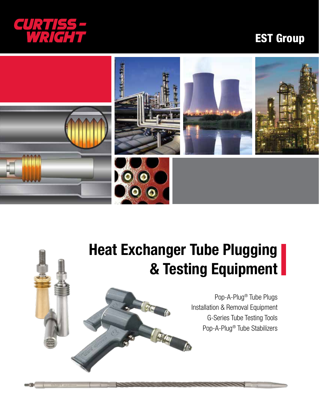

# EST Group



# Heat Exchanger Tube Plugging & Testing Equipment

Pop-A-Plug® Tube Plugs Installation & Removal Equipment G-Series Tube Testing Tools Pop-A-Plug® Tube Stabilizers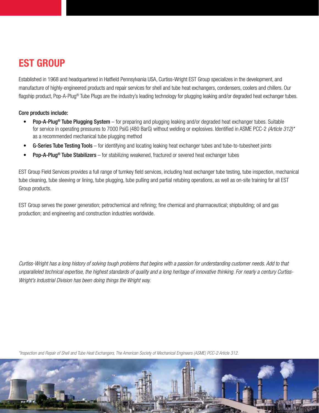# EST GROUP

Established in 1968 and headquartered in Hatfield Pennsylvania USA, Curtiss-Wright EST Group specializes in the development, and manufacture of highly-engineered products and repair services for shell and tube heat exchangers, condensers, coolers and chillers. Our flagship product, Pop-A-Plug® Tube Plugs are the industry's leading technology for plugging leaking and/or degraded heat exchanger tubes.

## Core products include:

- Pop-A-Plug<sup>®</sup> Tube Plugging System for preparing and plugging leaking and/or degraded heat exchanger tubes. Suitable for service in operating pressures to 7000 PsiG (480 BarG) without welding or explosives. Identified in ASME PCC-2 *(Article 312)\**  as a recommended mechanical tube plugging method
- G-Series Tube Testing Tools for identifying and locating leaking heat exchanger tubes and tube-to-tubesheet joints
- **Pop-A-Plug<sup>®</sup> Tube Stabilizers** for stabilizing weakened, fractured or severed heat exchanger tubes

EST Group Field Services provides a full range of turnkey field services, including heat exchanger tube testing, tube inspection, mechanical tube cleaning, tube sleeving or lining, tube plugging, tube pulling and partial retubing operations, as well as on-site training for all EST Group products.

EST Group serves the power generation; petrochemical and refining; fine chemical and pharmaceutical; shipbuilding; oil and gas production; and engineering and construction industries worldwide.

*Curtiss-Wright has a long history of solving tough problems that begins with a passion for understanding customer needs. Add to that unparalleled technical expertise, the highest standards of quality and a long heritage of innovative thinking. For nearly a century Curtiss-Wright's Industrial Division has been doing things the Wright way.*

*\*Inspection and Repair of Shell and Tube Heat Exchangers, The American Society of Mechanical Engineers (ASME) PCC-2 Article 312.*

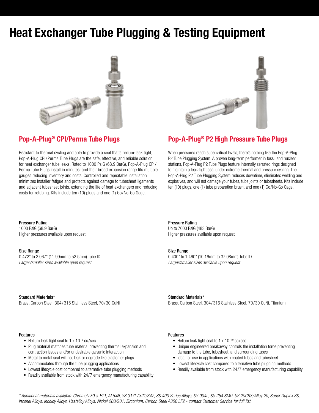# Heat Exchanger Tube Plugging & Testing Equipment



Resistant to thermal cycling and able to provide a seal that's helium-leak tight, Pop-A-Plug CPI/Perma Tube Plugs are the safe, effective, and reliable solution for heat exchanger tube leaks. Rated to 1000 PsiG (68.9 BarG), Pop-A-Plug CPI/ Perma Tube Plugs install in minutes, and their broad expansion range fits multiple gauges reducing inventory and costs. Controlled and repeatable installation minimizes installer fatigue and protects against damage to tubesheet ligaments and adjacent tubesheet joints, extending the life of heat exchangers and reducing costs for retubing. Kits include ten (10) plugs and one (1) Go/No-Go Gage.

Pressure Rating 1000 PsiG (68.9 BarG) Higher pressures available upon request

Size Range 0.472" to 2.067" (11.99mm to 52.5mm) Tube ID *Larger/smaller sizes available upon request*

Standard Materials\* Brass, Carbon Steel, 304/ 316 Stainless Steel, 70/30 CuNi

#### Features

- Helium leak tight seal to 1 x 10<sup>-6</sup> cc/sec
- Plug material matches tube material preventing thermal expansion and contraction issues and/or undesirable galvanic interaction
- Metal to metal seal will not leak or degrade like elastomer plugs
- Accommodates through the tube plugging applications
- Lowest lifecycle cost compared to alternative tube plugging methods
- Readily available from stock with 24/7 emergency manufacturing capability



## Pop-A-Plug<sup>®</sup> CPI/Perma Tube Plugs Pop-A-Plug<sup>®</sup> P2 High Pressure Tube Plugs

When pressures reach supercritical levels, there's nothing like the Pop-A-Plug P2 Tube Plugging System. A proven long-term performer in fossil and nuclear stations, Pop-A-Plug P2 Tube Plugs feature internally serrated rings designed to maintain a leak-tight seal under extreme thermal and pressure cycling. The Pop-A-Plug P2 Tube Plugging System reduces downtime, eliminates welding and explosives, and will not damage your tubes, tube joints or tubesheets. Kits include ten (10) plugs, one (1) tube preparation brush, and one (1) Go/No-Go Gage.

### Pressure Rating

Up to 7000 PsiG (483 BarG) Higher pressures available upon request

### Size Range

0.400" to 1.460" (10.16mm to 37.08mm) Tube ID *Larger/smaller sizes available upon request*

Standard Materials\* Brass, Carbon Steel, 304/ 316 Stainless Steel, 70/30 CuNi, Titanium

#### Features

- Helium leak tight seal to 1 x 10<sup>-10</sup> cc/sec
- Unique engineered breakaway controls the installation force preventing damage to the tube, tubesheet, and surrounding tubes
- Ideal for use in applications with coated tubes and tubesheet
- Lowest lifecycle cost compared to alternative tube plugging methods
- Readily available from stock with 24/7 emergency manufacturing capability

*\* Additional materials available: Chromoly F9 & F11, AL6XN, SS 317L/321/347, SS 400 Series Alloys, SS 904L, SS 254 SMO, SS 20CB3/Alloy 20, Super Duplex SS, Inconel Alloys, Incoloy Alloys, Hastelloy Alloys, Nickel 200/201, Zirconium, Carbon Steel A350 LF2 - contact Customer Service for full list.*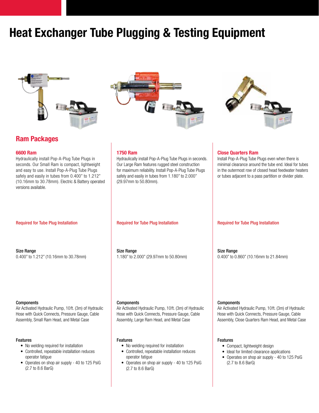# Heat Exchanger Tube Plugging & Testing Equipment





### 6600 Ram

Hydraulically install Pop-A-Plug Tube Plugs in seconds. Our Small Ram is compact, lightweight and easy to use. Install Pop-A-Plug Tube Plugs safely and easily in tubes from 0.400" to 1.212" (10.16mm to 30.78mm). Electric & Battery operated versions available.

Size Range 0.400" to 1.212" (10.16mm to 30.78mm)

### **Components**

Air Activated Hydraulic Pump, 10ft. (3m) of Hydraulic Hose with Quick Connects, Pressure Gauge, Cable Assembly, Small Ram Head, and Metal Case

### Features

- No welding required for installation
- Controlled, repeatable installation reduces operator fatigue
- Operates on shop air supply 40 to 125 PsiG (2.7 to 8.6 BarG)





### 1750 Ram

Hydraulically install Pop-A-Plug Tube Plugs in seconds. Our Large Ram features rugged steel construction for maximum reliability. Install Pop-A-Plug Tube Plugs safely and easily in tubes from 1.180" to 2.000" (29.97mm to 50.80mm).

Size Range 1.180" to 2.000" (29.97mm to 50.80mm)

**Components** 

Air Activated Hydraulic Pump, 10ft. (3m) of Hydraulic Hose with Quick Connects, Pressure Gauge, Cable Assembly, Large Ram Head, and Metal Case

### Features

- No welding required for installation
- Controlled, repeatable installation reduces operator fatigue
- Operates on shop air supply 40 to 125 PsiG (2.7 to 8.6 BarG)

minimal clearance around the tube end. Ideal for tubes in the outermost row of closed head feedwater heaters or tubes adjacent to a pass partition or divider plate.

Install Pop-A-Plug Tube Plugs even when there is

### Required for Tube Plug Installation **Required for Tube Plug Installation** Required for Tube Plug Installation

Close Quarters Ram

Size Range 0.400" to 0.860" (10.16mm to 21.84mm)

#### **Components**

Air Activated Hydraulic Pump, 10ft. (3m) of Hydraulic Hose with Quick Connects, Pressure Gauge, Cable Assembly, Close Quarters Ram Head, and Metal Case

### Features

- Compact, lightweight design
- Ideal for limited clearance applications
- Operates on shop air supply 40 to 125 PsiG (2.7 to 8.6 BarG)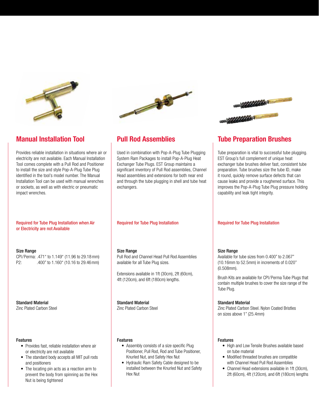

Provides reliable installation in situations where air or electricity are not available. Each Manual Installation Tool comes complete with a Pull Rod and Positioner to install the size and style Pop-A-Plug Tube Plug identified in the tool's model number. The Manual Installation Tool can be used with manual wrenches or sockets, as well as with electric or pneumatic impact wrenches.

### Required for Tube Plug Installation when Air or Electricity are not Available

### Size Range

CPI/Perma: .471" to 1.149" (11.96 to 29.18mm) P2: .400" to 1.160" (10.16 to 29.46mm)

Standard Material Zinc Plated Carbon Steel

#### Features

- Provides fast, reliable installation where air or electricity are not available
- The standard body accepts all MIT pull rods and positioners
- The locating pin acts as a reaction arm to prevent the body from spinning as the Hex Nut is being tightened



Used in combination with Pop-A-Plug Tube Plugging System Ram Packages to install Pop-A-Plug Heat Exchanger Tube Plugs. EST Group maintains a significant inventory of Pull Rod assemblies, Channel Head assemblies and extensions for both near end and through the tube plugging in shell and tube heat exchangers.

### Size Range

Pull Rod and Channel Head Pull Rod Assemblies available for all Tube Plug sizes.

Extensions available in 1ft (30cm), 2ft (60cm), 4ft (120cm), and 6ft (180cm) lengths.

### Standard Material

Zinc Plated Carbon Steel

### Features

- Assembly consists of a size specific Plug Positioner, Pull Rod, Rod and Tube Positioner, Knurled Nut, and Safety Hex Nut
- Hydraulic Ram Safety Cable designed to be installed between the Knurled Nut and Safety Hex Nut



# **Manual Installation Tool Computer State Pull Rod Assemblies Computer Tube Preparation Brushes**

Tube preparation is vital to successful tube plugging. EST Group's full complement of unique heat exchanger tube brushes deliver fast, consistent tube preparation. Tube brushes size the tube ID, make it round, quickly remove surface defects that can cause leaks and provide a roughened surface. This improves the Pop-A-Plug Tube Plug pressure holding capability and leak tight integrity.

### Required for Tube Plug Installation **Required for Tube Plug Installation**

### Size Range

Available for tube sizes from 0.400" to 2.067" (10.16mm to 52.5mm) in increments of 0.020" (0.508mm).

Brush Kits are available for CPI/Perma Tube Plugs that contain multiple brushes to cover the size range of the Tube Plug.

### Standard Material

Zinc Plated Carbon Steel. Nylon Coated Bristles on sizes above 1" (25.4mm)

### Features

- High and Low Tensile Brushes available based on tube material
- Modified threaded brushes are compatible with Channel Head Pull Rod Assemblies
- Channel Head extensions available in 1ft (30cm), 2ft (60cm), 4ft (120cm), and 6ft (180cm) lengths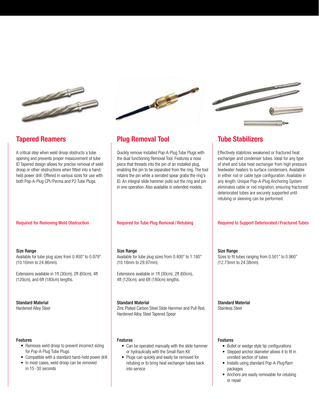

A critical step when weld droop obstructs a tube opening and prevents proper measurement of tube ID Tapered design allows for precise removal of weld droop or other obstructions when fitted into a handheld power drill. Offered in various sizes for use with both Pop-A-Plug CPI/Perma and P2 Tube Plugs.



## Tapered Reamers Plug Removal Tool Tube Stabilizers

Quickly remove installed Pop-A-Plug Tube Plugs with the dual functioning Removal Tool. Features a nose piece that threads into the pin of an installed plug, enabling the pin to be separated from the ring. The tool retains the pin while a serrated spear grabs the ring's ID. An integral slide hammer pulls out the ring and pin in one operation. Also available in extended models.

### Size Range

Available for tube plug sizes from 0.400" to 0.979" (10.16mm to 24.86mm).

Extensions available in 1ft (30cm), 2ft (60cm), 4ft (120cm), and 6ft (180cm) lengths.

## Standard Material

Hardened Alloy Steel

#### Features

- Removes weld droop to prevent incorrect sizing for Pop-A-Plug Tube Plugs
- Compatible with a standard hand-held power drill
- In most cases, weld droop can be removed in 15-30 seconds

#### Size Range

Available for tube plug sizes from 0.400" to 1.180" (10.16mm to 29.97mm).

Extensions available in 1ft (30cm), 2ft (60cm), 4ft (120cm), and 6ft (180cm) lengths.

#### Standard Material

Zinc Plated Carbon Steel Slide Hammer and Pull Rod, Hardened Alloy Steel Tapered Spear

#### Features

- Can be operated manually with the slide hammer or hydraulically with the Small Ram Kit
- Plugs can quickly and easily be removed for retubing or to bring heat exchanger tubes back into service

Effectively stabilizes weakened or fractured heat exchanger and condenser tubes. Ideal for any type of shell and tube heat exchanger from high pressure feedwater heaters to surface condensers. Available in either rod or cable type configuration. Available in any length. Unique Pop-A-Plug Anchoring System eliminates cable or rod migration, ensuring fractured/ deteriorated tubes are securely supported until retubing or sleeving can be performed.

#### Required for Removing Weld Obstruction **Required for Tube Plug Removal / Retubing Required to Support Deteriorated / Fractured Tubes**

Size Range Sizes to fit tubes ranging from 0.501" to 0.960" (12.73mm to 24.38mm)

Standard Material Stainless Steel

### Features

- Bullet or wedge style tip configurations
- Stepped anchor diameter allows it to fit in unrolled section of tubes
- Installs using standard Pop-A-Plug Ram packages
- Anchors are easily removable for retubing or repair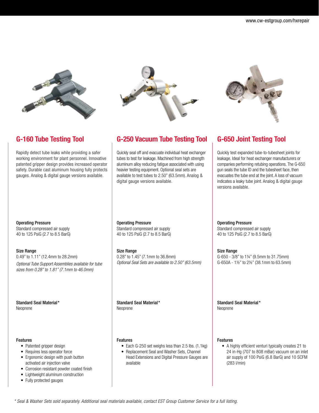

Rapidly detect tube leaks while providing a safer working environment for plant personnel. Innovative patented gripper design provides increased operator safety. Durable cast aluminum housing fully protects gauges. Analog & digital gauge versions available.



# G-160 Tube Testing Tool G-250 Vacuum Tube Testing Tool G-650 Joint Testing Tool

Quickly seal off and evacuate individual heat exchanger tubes to test for leakage. Machined from high strength aluminum alloy reducing fatigue associated with using heavier testing equipment. Optional seal sets are available to test tubes to 2.50" (63.5mm). Analog & digital gauge versions available.



Quickly test expanded tube-to-tubesheet joints for leakage. Ideal for heat exchanger manufacturers or companies performing retubing operations. The G-650 gun seals the tube ID and the tubesheet face, then evacuates the tube end at the joint. A loss of vacuum indicates a leaky tube joint. Analog & digital gauge versions available.

Operating Pressure Standard compressed air supply 40 to 125 PsiG (2.7 to 8.5 BarG)

### Size Range

0.49" to 1.11" (12.4mm to 28.2mm) *Optional Tube Support Assemblies available for tube sizes from 0.28" to 1.81" (7.1mm to 46.0mm)*

Standard Seal Material\* Neoprene

### Features

- Patented gripper design
- Requires less operator force
- Ergonomic design with push button activated air injection valve
- Corrosion resistant powder coated finish
- Lightweight aluminum construction
- Fully protected gauges

Operating Pressure Standard compressed air supply 40 to 125 PsiG (2.7 to 8.5 BarG)

Size Range 0.28" to 1.45" (7.1mm to 36.8mm) *Optional Seal Sets are available to 2.50" (63.5mm)*

Standard Seal Material\* Neoprene

### Features

- Each G-250 set weighs less than 2.5 lbs. (1.1kg)
- Replacement Seal and Washer Sets, Channel Head Extensions and Digital Pressure Gauges are available

Operating Pressure

Standard compressed air supply 40 to 125 PsiG (2.7 to 8.5 BarG)

Size Range G-650 - 3/8" to 1¼" (9.5mm to 31.75mm) G-650A - 1½" to 2½" (38.1mm to 63.5mm)

Standard Seal Material\* Neoprene

### Features

• A highly efficient venturi typically creates 21 to 24 in-Hg (707 to 808 mBar) vacuum on an inlet air supply of 100 PsiG (6.8 BarG) and 10 SCFM (283 l/min)

*\* Seal & Washer Sets sold separately. Additional seal materials available, contact EST Group Customer Service for a full listing.*